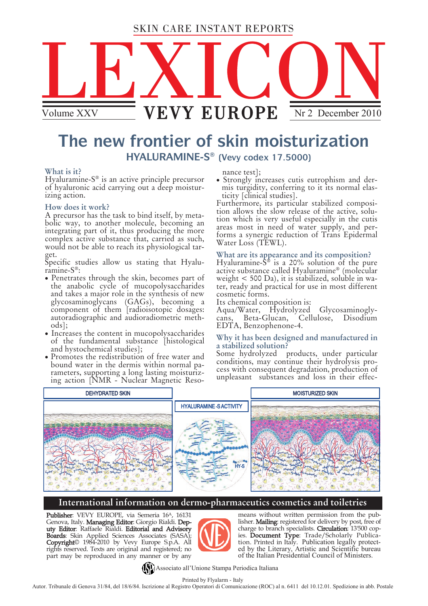# SKIN CARE INSTANT REPORTS



# **The new frontier of skin moisturization HYALURAMINE-S ® (Vevy codex 17.5000)**

#### **What is it?**

Hyaluramine-S ® is an active principle precursor of hyaluronic acid carrying out a deep moisturizing action.

### **How does it work?**

A precursor has the task to bind itself, by metabolic way, to another molecule, becoming an integrating part of it, thus producing the more complex active substance that, carried as such, would not be able to reach its physiological target.

Specific studies allow us stating that Hyaluramine-S ®:

- Penetrates through the skin, becomes part of the anabolic cycle of mucopolysaccharides and takes a major role in the synthesis of new glycosaminoglycans (GAGs), becoming a component of them [radioisotopic dosages: autoradiographic and audioradiometric methods];
- Increases the content in mucopolysaccharides of the fundamental substance [histological and hystochemical studies];
- Promotes the redistribution of free water and bound water in the dermis within normal parameters, supporting a long lasting moisturizing action [NMR - Nuclear Magnetic Reso-

nance test];

 Strongly increases cutis eutrophism and dermis turgidity, conferring to it its normal elasticity [clinical studies].

Furthermore, its particular stabilized composition allows the slow release of the active, solution which is very useful especially in the cutis areas most in need of water supply, and performs a synergic reduction of Trans Epidermal Water Loss (TEWL).

## **What are its appearance and its composition?**

Hyaluramine-S ® is a 20% solution of the pure active substance called Hyaluramine® (molecular weight < 500 Da), it is stabilized, soluble in water, ready and practical for use in most different cosmetic forms.

Its chemical composition is:

Aqua/Water, Hydrolyzed Glycosaminoglycans, Beta-Glucan, Cellulose, Disodium EDTA, Benzophenone-4.

#### **Why it has been designed and manufactured in a stabilized solution?**

Some hydrolyzed products, under particular conditions, may continue their hydrolysis process with consequent degradation, production of unpleasant substances and loss in their effec-



## **International information on dermo-pharmaceutics cosmetics and toiletries**

Publisher: VEVY EUROPE, via Semeria 16<sup>A</sup>, 16131 Genova, Italy. Managing Editor: Giorgio Rialdi. Deputy Editor: Raffaele Rialdi. Editorial and Advisory **Boards**: Skin Applied Sciences Associates (SASA); Copyright© 1984-2010 by Vevy Europe S.p.A. All rights reserved. Texts are original and registered; no part may be reproduced in any manner or by any



means without written permission from the publisher. Mailing: registered for delivery by post, free of charge to branch specialists. **Circulation**: 13'500 copies. Document Type: Trade/Scholarly Publication. Printed in Italy. Publication legally protected by the Literary, Artistic and Scientific bureau of the Italian Presidential Council of Ministers.

Associato all'Unione Stampa Periodica Italiana

Printed by Flyalarm - Italy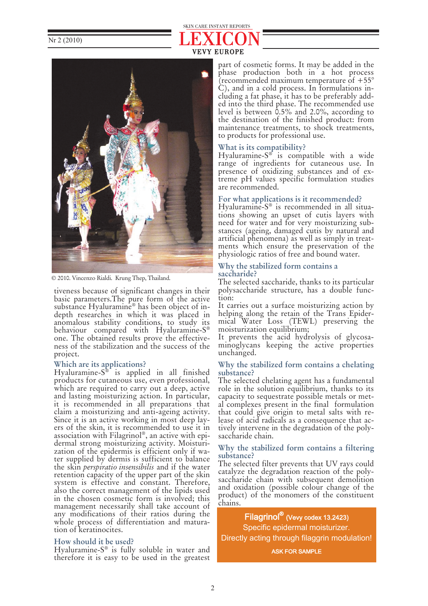# VEVY EUROPE SKIN CARE INSTANT REPORTS



© 2010. Vincenzo Rialdi. Krung Thep, Thailand.

tiveness because of significant changes in their basic parameters.The pure form of the active substance Hyaluramine® has been object of indepth researches in which it was placed in anomalous stability conditions, to study its behaviour compared with Hyaluramine-S ® one. The obtained results prove the effectiveness of the stabilization and the success of the project.

## **Which are its applications?**

Hyaluramine-S ® is applied in all finished products for cutaneous use, even professional, which are required to carry out a deep, active and lasting moisturizing action. In particular, it is recommended in all preparations that claim a moisturizing and anti-ageing activity. Since it is an active working in most deep layers of the skin, it is recommended to use it in association with Filagrinol®, an active with epidermal strong moisturizing activity. Moisturization of the epidermis is efficient only if water supplied by dermis is sufficient to balance the skin *perspiratio insensibilis* and if the water retention capacity of the upper part of the skin system is effective and constant. Therefore, also the correct management of the lipids used in the chosen cosmetic form is involved; this management necessarily shall take account of any modifications of their ratios during the whole process of differentiation and maturation of keratinocites.

## **How should it be used?**

Hyaluramine-S ® is fully soluble in water and therefore it is easy to be used in the greatest

part of cosmetic forms. It may be added in the phase production both in a hot process (recommended maximum temperature of +55° C), and in a cold process. In formulations including a fat phase, it has to be preferably added into the third phase. The recommended use level is between 0.5% and 2.0%, according to the destination of the finished product: from maintenance treatments, to shock treatments, to products for professional use.

## **What is its compatibility?**

Hyaluramine-S ® is compatible with a wide range of ingredients for cutaneous use. In presence of oxidizing substances and of extreme pH values specific formulation studies are recommended.

## **For what applications is it recommended?**

Hyaluramine-S ® is recommended in all situations showing an upset of cutis layers with need for water and for very moisturizing substances (ageing, damaged cutis by natural and artificial phenomena) as well as simply in treatments which ensure the preservation of the physiologic ratios of free and bound water.

#### **Why the stabilized form contains a saccharide?**

The selected saccharide, thanks to its particular polysaccharide structure, has a double function:

It carries out a surface moisturizing action by helping along the retain of the Trans Epidermical Water Loss (TEWL) preserving the moisturization equilibrium;

It prevents the acid hydrolysis of glycosaminoglycans keeping the active properties unchanged.

#### **Why the stabilized form contains a chelating substance?**

The selected chelating agent has a fundamental role in the solution equilibrium, thanks to its capacity to sequestrate possible metals or metal complexes present in the final formulation that could give origin to metal salts with release of acid radicals as a consequence that actively intervene in the degradation of the polysaccharide chain.

### **Why the stabilized form contains a filtering substance?**

The selected filter prevents that UV rays could catalyze the degradation reaction of the polysaccharide chain with subsequent demolition and oxidation (possible colour change of the product) of the monomers of the constituent chains.

Filagrinol® (Vevy codex 13.2423) Specific epidermal moisturizer. Directly acting through filaggrin modulation!

ASK FOR SAMPLE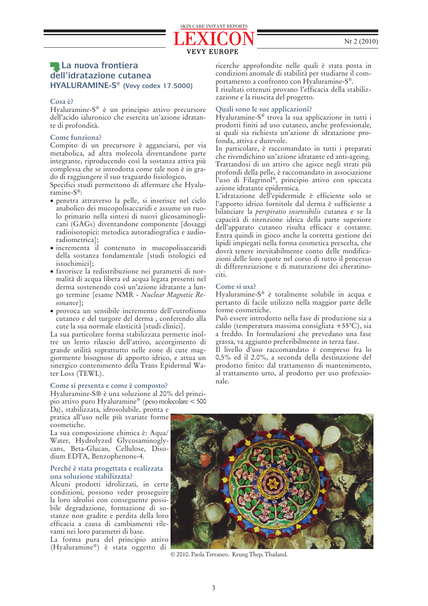## **La nuova frontiera dell'idratazione cutanea HYALURAMINE-S ® (Vevy codex 17.5000)**

#### **Cosa è?**

Hyaluramine-S ® è un principio attivo precursore dell'acido ialuronico che esercita un'azione idratante di profondità.

#### **Come funziona?**

Compito di un precursore è agganciarsi, per via metabolica, ad altra molecola diventandone parte integrante, riproducendo così la sostanza attiva più complessa che se introdotta come tale non è in grado di raggiungere il suo traguardo fisiologico.

Specifici studi permettono di affermare che Hyaluramine-S ® :

- penetra attraverso la pelle, si inserisce nel ciclo anabolico dei mucopolisaccaridi e assume un ruolo primario nella sintesi di nuovi glicosaminoglicani (GAGs) diventandone componente [dosaggi radioisotopici: metodica autoradiografica e audioradiometrica];
- incrementa il contenuto in mucopolisaccaridi della sostanza fondamentale [studi istologici ed istochimici];
- favorisce la redistribuzione nei parametri di normalità di acqua libera ed acqua legata presenti nel derma sostenendo così un'azione idratante a lungo termine [esame NMR - *Nuclear Magnetic Resonance*];
- provoca un sensibile incremento dell'eutrofismo cutaneo e del turgore del derma , conferendo alla cute la sua normale elasticità [studi clinici].

La sua particolare forma stabilizzata permette inoltre un lento rilascio dell'attivo, accorgimento di grande utilità soprattutto nelle zone di cute maggiormente bisognose di apporto idrico, e attua un sinergico contenimento della Trans Epidermal Water Loss (TEWL).

#### **Come si presenta e come è composto?**

Hyaluramine-S® è una soluzione al 20% del principio attivo puro Hyaluramine® (peso molecolare < 500

Da), stabilizzata, idrosolubile, pronta e pratica all'uso nelle più svariate forme cosmetiche.

La sua composizione chimica è: Aqua/ Water, Hydrolyzed Glycosaminoglycans, Beta-Glucan, Cellulose, Disodium EDTA, Benzophenone-4.

#### **Perché è stata progettata e realizzata una soluzione stabilizzata?**

Alcuni prodotti idrolizzati, in certe condizioni, possono veder proseguire la loro idrolisi con conseguente possibile degradazione, formazione di sostanze non gradite e perdita della loro efficacia a causa di cambiamenti rilevanti nei loro parametri di base.

La forma pura del principio attivo (Hyaluramine® ) è stata oggetto di

ricerche approfondite nelle quali è stata posta in condizioni anomale di stabilità per studiarne il comportamento a confronto con Hyaluramine-S ® .

I risultati ottenuti provano l'efficacia della stabilizzazione e la riuscita del progetto.

#### **Quali sono le sue applicazioni?**

VEVY EUROPE

SKIN CARE INSTANT REPORTS

Hyaluramine-S ® trova la sua applicazione in tutti i prodotti finiti ad uso cutaneo, anche professionale, ai quali sia richiesta un'azione di idratazione profonda, attiva e durevole.

In particolare, è raccomandato in tutti i preparati che rivendichino un'azione idratante ed anti-ageing. Trattandosi di un attivo che agisce negli strati più profondi della pelle, è raccomandato in associazione l'uso di Filagrinol® , principio attivo con spiccata azione idratante epidermica.

L'idratazione dell'epidermide è efficiente solo se l'apporto idrico fornitole dal derma è sufficiente a bilanciare la *perspiratio insensibilis* cutanea e se la capacità di ritenzione idrica della parte superiore dell'apparato cutaneo risulta efficace e costante. Entra quindi in gioco anche la corretta gestione dei lipidi impiegati nella forma cosmetica prescelta, che dovrà tenere inevitabilmente conto delle modificazioni delle loro quote nel corso di tutto il processo di differenziazione e di maturazione dei cheratinociti.

#### **Come si usa?**

Hyaluramine-S ® è totalmente solubile in acqua e pertanto di facile utilizzo nella maggior parte delle forme cosmetiche.

Può essere introdotto nella fase di produzione sia a caldo (temperatura massima consigliata +55°C), sia a freddo. In formulazioni che prevedano una fase grassa, va aggiunto preferibilmente in terza fase.

Il livello d'uso raccomandato è compreso fra lo 0,5% ed il 2.0%, a seconda della destinazione del prodotto finito: dal trattamento di mantenimento, al trattamento urto, al prodotto per uso professionale.



© 2010. Paola Terraneo. Krung Thep, Thailand.